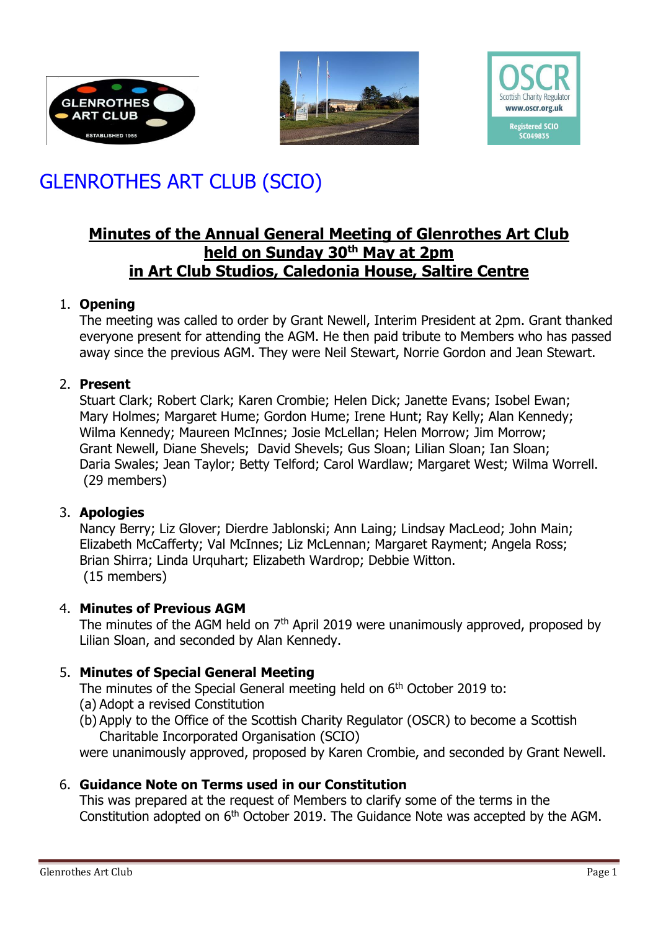





# GLENROTHES ART CLUB (SCIO)

# **Minutes of the Annual General Meeting of Glenrothes Art Club held on Sunday 30th May at 2pm in Art Club Studios, Caledonia House, Saltire Centre**

## 1. **Opening**

The meeting was called to order by Grant Newell, Interim President at 2pm. Grant thanked everyone present for attending the AGM. He then paid tribute to Members who has passed away since the previous AGM. They were Neil Stewart, Norrie Gordon and Jean Stewart.

# 2. **Present**

Stuart Clark; Robert Clark; Karen Crombie; Helen Dick; Janette Evans; Isobel Ewan; Mary Holmes; Margaret Hume; Gordon Hume; Irene Hunt; Ray Kelly; Alan Kennedy; Wilma Kennedy; Maureen McInnes; Josie McLellan; Helen Morrow; Jim Morrow; Grant Newell, Diane Shevels; David Shevels; Gus Sloan; Lilian Sloan; Ian Sloan; Daria Swales; Jean Taylor; Betty Telford; Carol Wardlaw; Margaret West; Wilma Worrell. (29 members)

#### 3. **Apologies**

Nancy Berry; Liz Glover; Dierdre Jablonski; Ann Laing; Lindsay MacLeod; John Main; Elizabeth McCafferty; Val McInnes; Liz McLennan; Margaret Rayment; Angela Ross; Brian Shirra; Linda Urquhart; Elizabeth Wardrop; Debbie Witton. (15 members)

# 4. **Minutes of Previous AGM**

The minutes of the AGM held on  $7<sup>th</sup>$  April 2019 were unanimously approved, proposed by Lilian Sloan, and seconded by Alan Kennedy.

# 5. **Minutes of Special General Meeting**

The minutes of the Special General meeting held on 6<sup>th</sup> October 2019 to:

- (a) Adopt a revised Constitution
- (b) Apply to the Office of the Scottish Charity Regulator (OSCR) to become a Scottish Charitable Incorporated Organisation (SCIO)

were unanimously approved, proposed by Karen Crombie, and seconded by Grant Newell.

# 6. **Guidance Note on Terms used in our Constitution**

This was prepared at the request of Members to clarify some of the terms in the Constitution adopted on 6th October 2019. The Guidance Note was accepted by the AGM.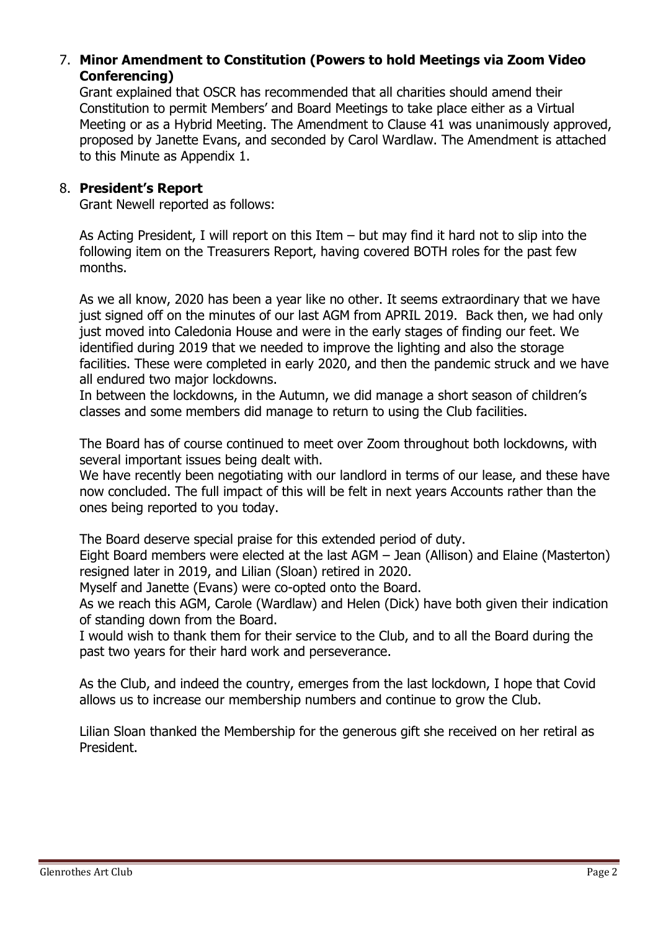## 7. **Minor Amendment to Constitution (Powers to hold Meetings via Zoom Video Conferencing)**

Grant explained that OSCR has recommended that all charities should amend their Constitution to permit Members' and Board Meetings to take place either as a Virtual Meeting or as a Hybrid Meeting. The Amendment to Clause 41 was unanimously approved, proposed by Janette Evans, and seconded by Carol Wardlaw. The Amendment is attached to this Minute as Appendix 1.

#### 8. **President's Report**

Grant Newell reported as follows:

As Acting President, I will report on this Item – but may find it hard not to slip into the following item on the Treasurers Report, having covered BOTH roles for the past few months.

As we all know, 2020 has been a year like no other. It seems extraordinary that we have just signed off on the minutes of our last AGM from APRIL 2019. Back then, we had only just moved into Caledonia House and were in the early stages of finding our feet. We identified during 2019 that we needed to improve the lighting and also the storage facilities. These were completed in early 2020, and then the pandemic struck and we have all endured two major lockdowns.

In between the lockdowns, in the Autumn, we did manage a short season of children's classes and some members did manage to return to using the Club facilities.

The Board has of course continued to meet over Zoom throughout both lockdowns, with several important issues being dealt with.

We have recently been negotiating with our landlord in terms of our lease, and these have now concluded. The full impact of this will be felt in next years Accounts rather than the ones being reported to you today.

The Board deserve special praise for this extended period of duty.

Eight Board members were elected at the last AGM – Jean (Allison) and Elaine (Masterton) resigned later in 2019, and Lilian (Sloan) retired in 2020.

Myself and Janette (Evans) were co-opted onto the Board.

As we reach this AGM, Carole (Wardlaw) and Helen (Dick) have both given their indication of standing down from the Board.

I would wish to thank them for their service to the Club, and to all the Board during the past two years for their hard work and perseverance.

As the Club, and indeed the country, emerges from the last lockdown, I hope that Covid allows us to increase our membership numbers and continue to grow the Club.

Lilian Sloan thanked the Membership for the generous gift she received on her retiral as President.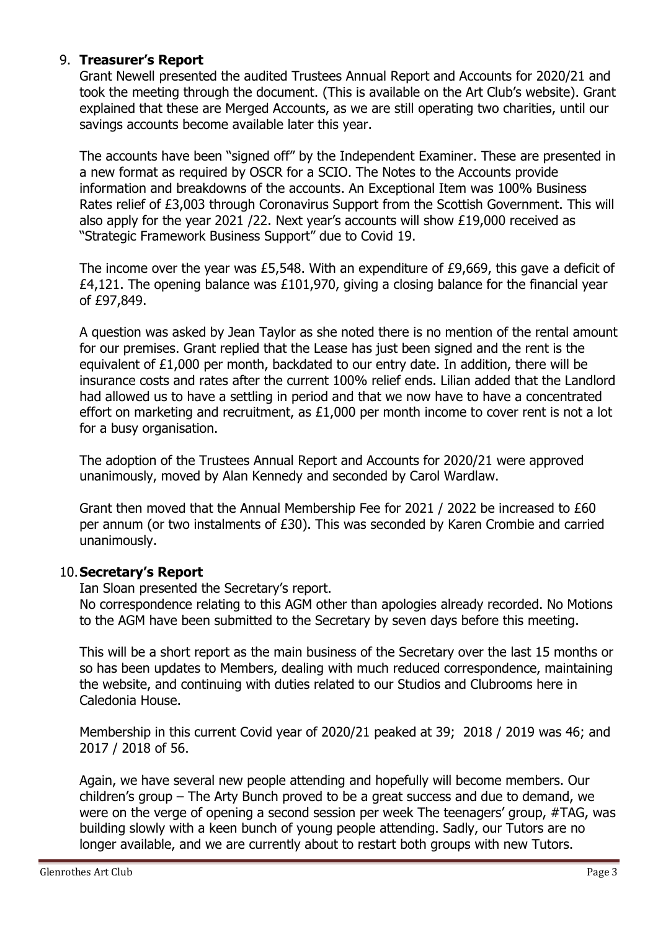#### 9. **Treasurer's Report**

Grant Newell presented the audited Trustees Annual Report and Accounts for 2020/21 and took the meeting through the document. (This is available on the Art Club's website). Grant explained that these are Merged Accounts, as we are still operating two charities, until our savings accounts become available later this year.

The accounts have been "signed off" by the Independent Examiner. These are presented in a new format as required by OSCR for a SCIO. The Notes to the Accounts provide information and breakdowns of the accounts. An Exceptional Item was 100% Business Rates relief of £3,003 through Coronavirus Support from the Scottish Government. This will also apply for the year 2021 /22. Next year's accounts will show £19,000 received as "Strategic Framework Business Support" due to Covid 19.

The income over the year was £5,548. With an expenditure of £9,669, this gave a deficit of £4,121. The opening balance was £101,970, giving a closing balance for the financial year of £97,849.

A question was asked by Jean Taylor as she noted there is no mention of the rental amount for our premises. Grant replied that the Lease has just been signed and the rent is the equivalent of £1,000 per month, backdated to our entry date. In addition, there will be insurance costs and rates after the current 100% relief ends. Lilian added that the Landlord had allowed us to have a settling in period and that we now have to have a concentrated effort on marketing and recruitment, as £1,000 per month income to cover rent is not a lot for a busy organisation.

The adoption of the Trustees Annual Report and Accounts for 2020/21 were approved unanimously, moved by Alan Kennedy and seconded by Carol Wardlaw.

Grant then moved that the Annual Membership Fee for 2021 / 2022 be increased to £60 per annum (or two instalments of £30). This was seconded by Karen Crombie and carried unanimously.

#### 10.**Secretary's Report**

Ian Sloan presented the Secretary's report.

No correspondence relating to this AGM other than apologies already recorded. No Motions to the AGM have been submitted to the Secretary by seven days before this meeting.

This will be a short report as the main business of the Secretary over the last 15 months or so has been updates to Members, dealing with much reduced correspondence, maintaining the website, and continuing with duties related to our Studios and Clubrooms here in Caledonia House.

Membership in this current Covid year of 2020/21 peaked at 39; 2018 / 2019 was 46; and 2017 / 2018 of 56.

Again, we have several new people attending and hopefully will become members. Our children's group – The Arty Bunch proved to be a great success and due to demand, we were on the verge of opening a second session per week The teenagers' group, #TAG, was building slowly with a keen bunch of young people attending. Sadly, our Tutors are no longer available, and we are currently about to restart both groups with new Tutors.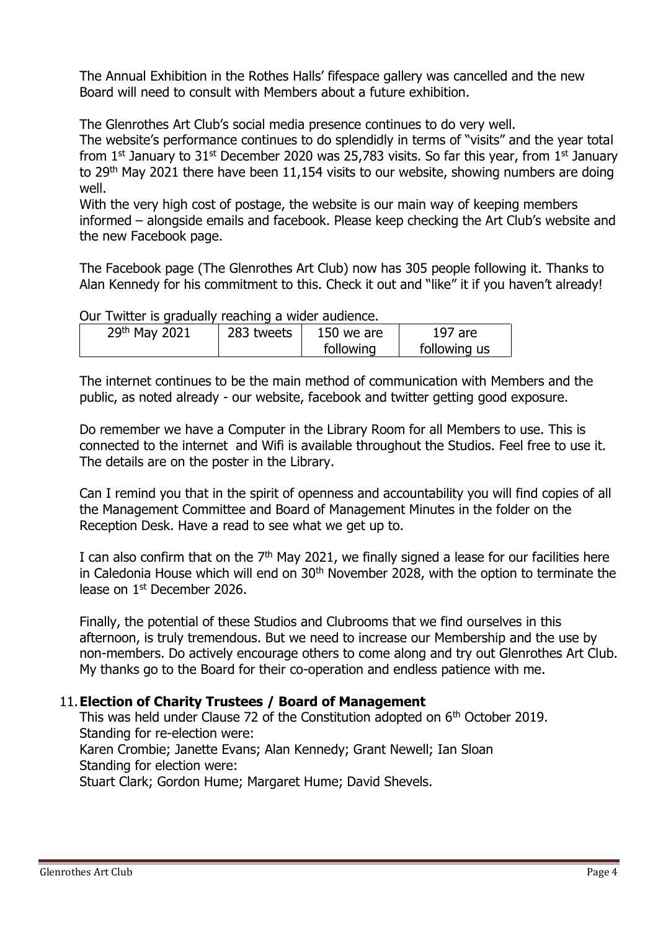The Annual Exhibition in the Rothes Halls' fifespace gallery was cancelled and the new Board will need to consult with Members about a future exhibition.

The Glenrothes Art Club's social media presence continues to do very well.

The website's performance continues to do splendidly in terms of "visits" and the year total from  $1^{st}$  January to  $31^{st}$  December 2020 was 25,783 visits. So far this year, from  $1^{st}$  January to 29<sup>th</sup> May 2021 there have been 11,154 visits to our website, showing numbers are doing well.

With the very high cost of postage, the website is our main way of keeping members informed – alongside emails and facebook. Please keep checking the Art Club's website and the new Facebook page.

The Facebook page (The Glenrothes Art Club) now has 305 people following it. Thanks to Alan Kennedy for his commitment to this. Check it out and "like" it if you haven't already!

Our Twitter is gradually reaching a wider audience.

| 29th May 2021 | 283 tweets | 150 we are | 197 are      |
|---------------|------------|------------|--------------|
|               |            | following  | following us |

The internet continues to be the main method of communication with Members and the public, as noted already - our website, facebook and twitter getting good exposure.

Do remember we have a Computer in the Library Room for all Members to use. This is connected to the internet and Wifi is available throughout the Studios. Feel free to use it. The details are on the poster in the Library.

Can I remind you that in the spirit of openness and accountability you will find copies of all the Management Committee and Board of Management Minutes in the folder on the Reception Desk. Have a read to see what we get up to.

I can also confirm that on the  $7<sup>th</sup>$  May 2021, we finally signed a lease for our facilities here in Caledonia House which will end on  $30<sup>th</sup>$  November 2028, with the option to terminate the lease on 1st December 2026.

Finally, the potential of these Studios and Clubrooms that we find ourselves in this afternoon, is truly tremendous. But we need to increase our Membership and the use by non-members. Do actively encourage others to come along and try out Glenrothes Art Club. My thanks go to the Board for their co-operation and endless patience with me.

#### 11.**Election of Charity Trustees / Board of Management**

This was held under Clause 72 of the Constitution adopted on 6<sup>th</sup> October 2019. Standing for re-election were: Karen Crombie; Janette Evans; Alan Kennedy; Grant Newell; Ian Sloan Standing for election were: Stuart Clark; Gordon Hume; Margaret Hume; David Shevels.